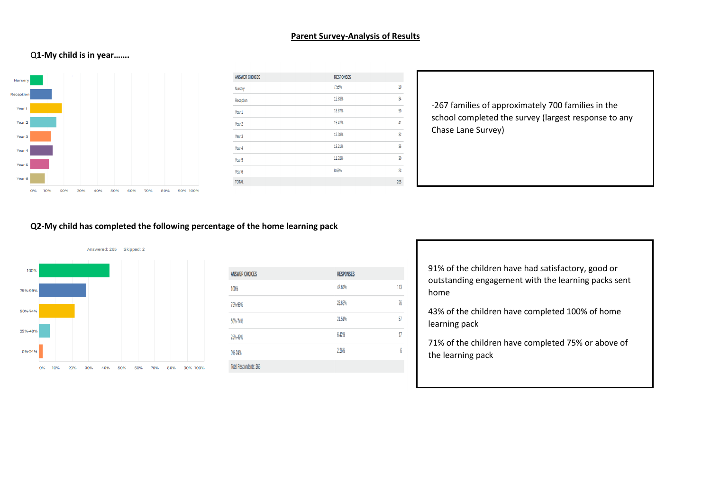#### **Parent Survey-Analysis of Results**

## Q**1-My child is in year…….**



| <b>ANSWER CHOICES</b> | <b>RESPONSES</b> |     |
|-----------------------|------------------|-----|
| Nursery               | 7.55%            | 20  |
| Reception             | 12.83%           | 34  |
| Year 1                | 18.87%           | 50  |
| Year 2                | 15.47%           | 41  |
| Year <sub>3</sub>     | 12.08%           | 32  |
| Year 4                | 13.21%           | 35  |
| Year 5                | 11.32%           | 30  |
| Year 6                | 8.68%            | 23  |
| <b>TOTAL</b>          |                  | 265 |

-267 families of approximately 700 families in the school completed the survey (largest response to any Chase Lane Survey)

#### **Q2-My child has completed the following percentage of the home learning pack**



| <b>ANSWER CHOICES</b>         | <b>RESPONSES</b> |     |
|-------------------------------|------------------|-----|
| 100%                          | 42.64%           | 113 |
| 75%-99%                       | 28.68%           | 76  |
| 50%-74%                       | 21.51%           | 57  |
| 25%-49%                       | 6.42%            | 17  |
| 0%-24%                        | 2.26%            | 6   |
| <b>Total Respondents: 265</b> |                  |     |

91% of the children have had satisfactory, good or outstanding engagement with the learning packs sent home

43% of the children have completed 100% of home learning pack

71% of the children have completed 75% or above of the learning pack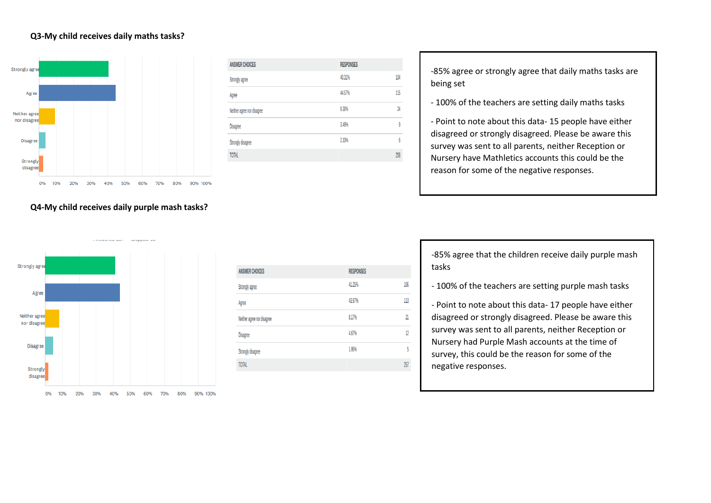#### **Q3-My child receives daily maths tasks?**



| <b>ANSWER CHOICES</b>      | <b>RESPONSES</b> |     |
|----------------------------|------------------|-----|
| Strongly agree             | 40.31%           | 104 |
| Agree                      | 44.57%           | 115 |
| Neither agree nor disagree | 9.30%            | 24  |
| <b>Disagree</b>            | 3.49%            | 9   |
| Strongly disagree          | 2.33%            | 6   |
| <b>TOTAL</b>               |                  | 258 |

-85% agree or strongly agree that daily maths tasks are being set

- 100% of the teachers are setting daily maths tasks

- Point to note about this data- 15 people have either disagreed or strongly disagreed. Please be aware this survey was sent to all parents, neither Reception or Nursery have Mathletics accounts this could be the reason for some of the negative responses.

**Q4-My child receives daily purple mash tasks?**



| <b>ANSWER CHOICES</b>      | <b>RESPONSES</b> |                 |
|----------------------------|------------------|-----------------|
| Strongly agree             | 41.25%           | 106             |
| Agree                      | 43.97%           | 113             |
| Neither agree nor disagree | 8.17%            | $\overline{21}$ |
| <b>Disagree</b>            | 4.67%            | 12              |
| Strongly disagree          | 1.95%            | 5               |
| <b>TOTAL</b>               |                  | 257             |
|                            |                  |                 |

-85% agree that the children receive daily purple mash tasks

- 100% of the teachers are setting purple mash tasks

- Point to note about this data- 17 people have either disagreed or strongly disagreed. Please be aware this survey was sent to all parents, neither Reception or Nursery had Purple Mash accounts at the time of survey, this could be the reason for some of the negative responses.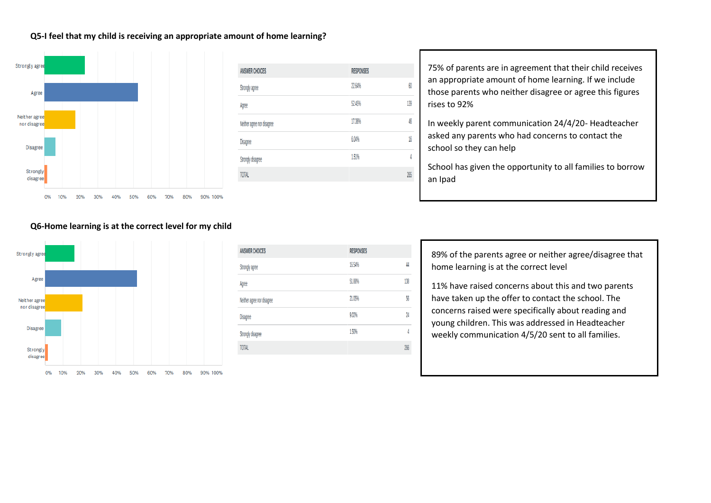### **Q5-I feel that my child is receiving an appropriate amount of home learning?**



| <b>ANSWER CHOICES</b>      | <b>RESPONSES</b> |     |
|----------------------------|------------------|-----|
| Strongly agree             | 22.64%           | 60  |
| Agree                      | 52.45%           | 139 |
| Neither agree nor disagree | 17.36%           | 46  |
| <b>Disagree</b>            | 6.04%            | 16  |
| Strongly disagree          | 1.51%            | 4   |
| <b>TOTAL</b>               |                  | 265 |

75% of parents are in agreement that their child receives an appropriate amount of home learning. If we include those parents who neither disagree or agree this figures rises to 92%

In weekly parent communication 24/4/20- Headteacher asked any parents who had concerns to contact the school so they can help

School has given the opportunity to all families to borrow an Ipad

#### **Q6-Home learning is at the correct level for my child**



| <b>ANSWER CHOICES</b>      | <b>RESPONSES</b>                 |
|----------------------------|----------------------------------|
| Strongly agree             | 16.54%<br>44                     |
| Agree                      | 138<br>51.88%                    |
| Neither agree nor disagree | 56<br>21.05%                     |
| <b>Disagree</b>            | 9.02%<br>$\overline{\mathbf{2}}$ |
| Strongly disagree          | 1.50%<br>4                       |
| <b>TOTAL</b>               | 266                              |
|                            |                                  |

89% of the parents agree or neither agree/disagree that home learning is at the correct level

11% have raised concerns about this and two parents have taken up the offer to contact the school. The concerns raised were specifically about reading and young children. This was addressed in Headteacher weekly communication 4/5/20 sent to all families.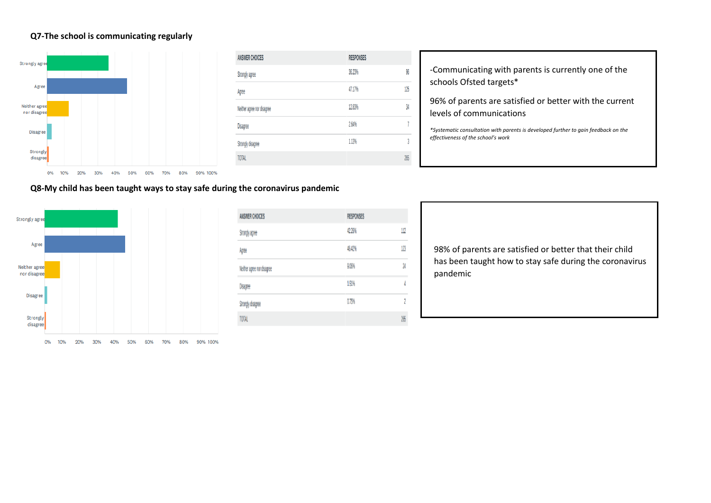## **Q7-The school is communicating regularly**



| <b>ANSWER CHOICES</b>      | <b>RESPONSES</b> |
|----------------------------|------------------|
| Strongly agree             | 96<br>36.23%     |
| Agree                      | 125<br>47.17%    |
| Neither agree nor disagree | 34<br>12.83%     |
| <b>Disagree</b>            | 7<br>2.64%       |
| Strongly disagree          | 3<br>1.13%       |
| <b>TOTAL</b>               | 265              |

-Communicating with parents is currently one of the schools Ofsted targets\*

96% of parents are satisfied or better with the current levels of communications

*\*Systematic consultation with parents is developed further to gain feedback on the effectiveness of the school's work*

**Q8-My child has been taught ways to stay safe during the coronavirus pandemic**



| <b>ANSWER CHOICES</b>      | <b>RESPONSES</b>         |
|----------------------------|--------------------------|
| Strongly agree             | 112<br>42.26%            |
| Agree                      | 123<br>46.42%            |
| Neither agree nor disagree | $\overline{24}$<br>9.06% |
| <b>Disagree</b>            | 1.51%<br>4               |
| Strongly disagree          | 2<br>0.75%               |
| <b>TOTAL</b>               | 265                      |

98% of parents are satisfied or better that their child has been taught how to stay safe during the coronavirus pandemic